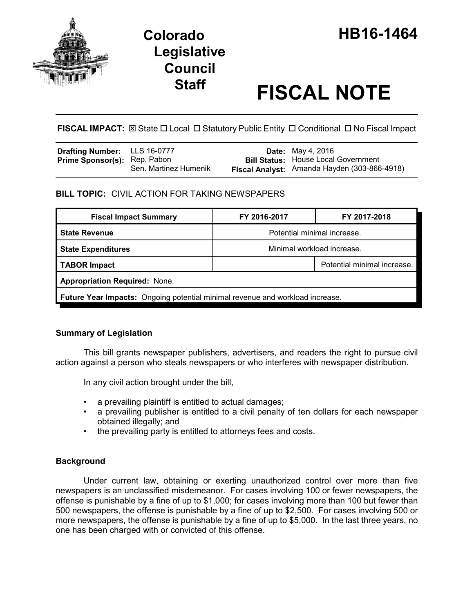

# **Staff FISCAL NOTE**

**FISCAL IMPACT:**  $\boxtimes$  State  $\Box$  Local  $\Box$  Statutory Public Entity  $\Box$  Conditional  $\Box$  No Fiscal Impact

| <b>Drafting Number:</b> LLS 16-0777 |                       | <b>Date:</b> May 4, 2016                     |
|-------------------------------------|-----------------------|----------------------------------------------|
| <b>Prime Sponsor(s):</b> Rep. Pabon |                       | <b>Bill Status: House Local Government</b>   |
|                                     | Sen. Martinez Humenik | Fiscal Analyst: Amanda Hayden (303-866-4918) |

# **BILL TOPIC:** CIVIL ACTION FOR TAKING NEWSPAPERS

| <b>Fiscal Impact Summary</b>                                                         | FY 2016-2017                | FY 2017-2018                |  |  |  |
|--------------------------------------------------------------------------------------|-----------------------------|-----------------------------|--|--|--|
| <b>State Revenue</b>                                                                 | Potential minimal increase. |                             |  |  |  |
| <b>State Expenditures</b>                                                            | Minimal workload increase.  |                             |  |  |  |
| TABOR Impact                                                                         |                             | Potential minimal increase. |  |  |  |
| <b>Appropriation Required: None.</b>                                                 |                             |                             |  |  |  |
| <b>Future Year Impacts:</b> Ongoing potential minimal revenue and workload increase. |                             |                             |  |  |  |

# **Summary of Legislation**

This bill grants newspaper publishers, advertisers, and readers the right to pursue civil action against a person who steals newspapers or who interferes with newspaper distribution.

In any civil action brought under the bill,

- a prevailing plaintiff is entitled to actual damages;
- a prevailing publisher is entitled to a civil penalty of ten dollars for each newspaper obtained illegally; and
- the prevailing party is entitled to attorneys fees and costs.

# **Background**

Under current law, obtaining or exerting unauthorized control over more than five newspapers is an unclassified misdemeanor. For cases involving 100 or fewer newspapers, the offense is punishable by a fine of up to \$1,000; for cases involving more than 100 but fewer than 500 newspapers, the offense is punishable by a fine of up to \$2,500. For cases involving 500 or more newspapers, the offense is punishable by a fine of up to \$5,000. In the last three years, no one has been charged with or convicted of this offense.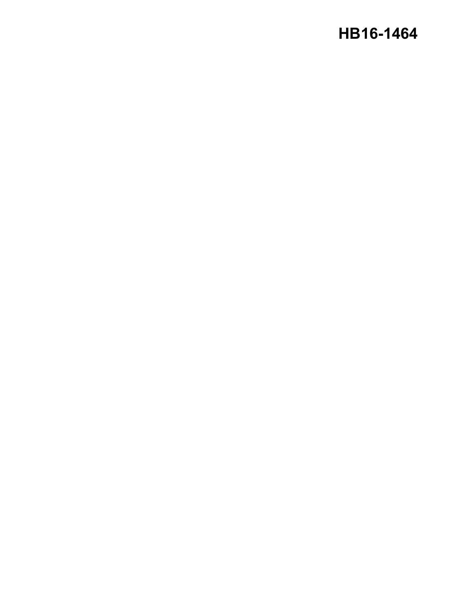# **HB16-1464**